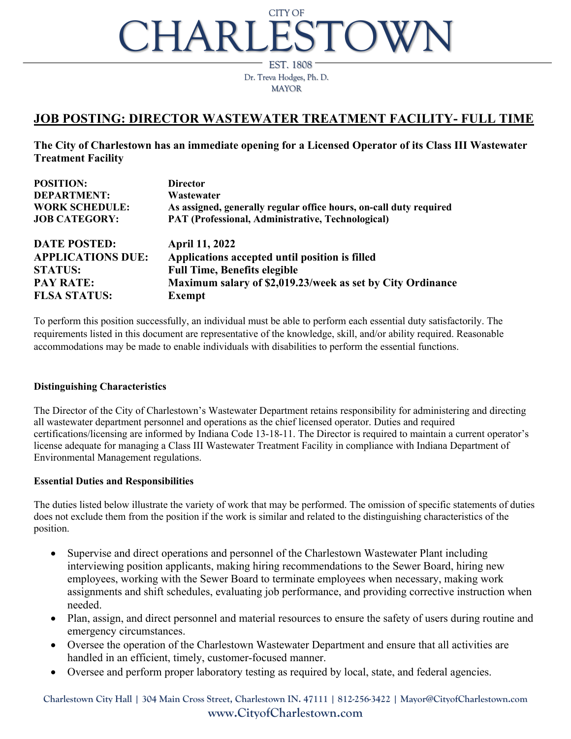# CHARLESTO' CITY OF

Dr. Treva Hodges, Ph. D. MAYOR EST. 1808

## **JOB POSTING: DIRECTOR WASTEWATER TREATMENT FACILITY- FULL TIME**

**The City of Charlestown has an immediate opening for a Licensed Operator of its Class III Wastewater Treatment Facility**

| <b>POSITION:</b>         | <b>Director</b>                                                    |
|--------------------------|--------------------------------------------------------------------|
| <b>DEPARTMENT:</b>       | Wastewater                                                         |
| <b>WORK SCHEDULE:</b>    | As assigned, generally regular office hours, on-call duty required |
| <b>JOB CATEGORY:</b>     | PAT (Professional, Administrative, Technological)                  |
| <b>DATE POSTED:</b>      | <b>April 11, 2022</b>                                              |
| <b>APPLICATIONS DUE:</b> | Applications accepted until position is filled                     |
| <b>STATUS:</b>           | <b>Full Time, Benefits elegible</b>                                |
| <b>PAY RATE:</b>         | Maximum salary of \$2,019.23/week as set by City Ordinance         |
| <b>FLSA STATUS:</b>      | <b>Exempt</b>                                                      |

To perform this position successfully, an individual must be able to perform each essential duty satisfactorily. The requirements listed in this document are representative of the knowledge, skill, and/or ability required. Reasonable accommodations may be made to enable individuals with disabilities to perform the essential functions.

#### **Distinguishing Characteristics**

The Director of the City of Charlestown's Wastewater Department retains responsibility for administering and directing all wastewater department personnel and operations as the chief licensed operator. Duties and required certifications/licensing are informed by Indiana Code 13-18-11. The Director is required to maintain a current operator's license adequate for managing a Class III Wastewater Treatment Facility in compliance with Indiana Department of Environmental Management regulations.

#### **Essential Duties and Responsibilities**

The duties listed below illustrate the variety of work that may be performed. The omission of specific statements of duties does not exclude them from the position if the work is similar and related to the distinguishing characteristics of the position.

- Supervise and direct operations and personnel of the Charlestown Wastewater Plant including interviewing position applicants, making hiring recommendations to the Sewer Board, hiring new employees, working with the Sewer Board to terminate employees when necessary, making work assignments and shift schedules, evaluating job performance, and providing corrective instruction when needed.
- Plan, assign, and direct personnel and material resources to ensure the safety of users during routine and emergency circumstances.
- Oversee the operation of the Charlestown Wastewater Department and ensure that all activities are handled in an efficient, timely, customer-focused manner.
- Oversee and perform proper laboratory testing as required by local, state, and federal agencies.

**Charlestown City Hall | 304 Main Cross Street, Charlestown IN. 47111 | 812-256-3422 | Mayor@CityofCharlestown.com www.CityofCharlestown.com**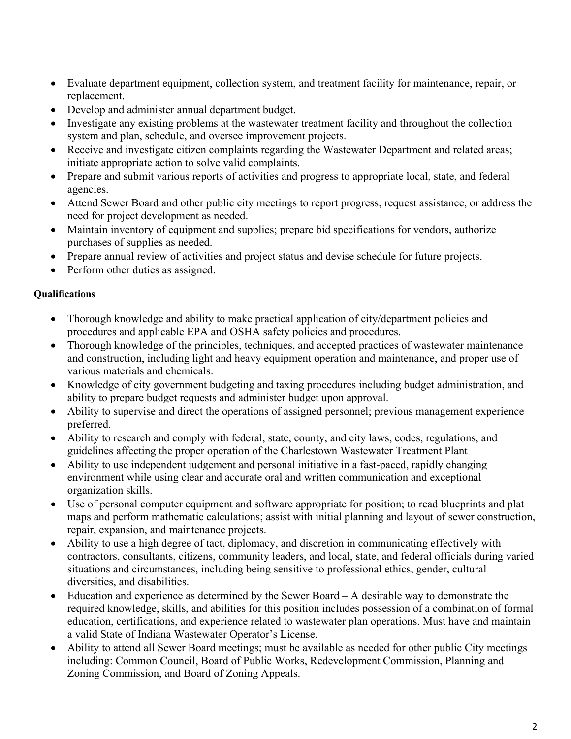- Evaluate department equipment, collection system, and treatment facility for maintenance, repair, or replacement.
- Develop and administer annual department budget.
- Investigate any existing problems at the wastewater treatment facility and throughout the collection system and plan, schedule, and oversee improvement projects.
- Receive and investigate citizen complaints regarding the Wastewater Department and related areas; initiate appropriate action to solve valid complaints.
- Prepare and submit various reports of activities and progress to appropriate local, state, and federal agencies.
- Attend Sewer Board and other public city meetings to report progress, request assistance, or address the need for project development as needed.
- Maintain inventory of equipment and supplies; prepare bid specifications for vendors, authorize purchases of supplies as needed.
- Prepare annual review of activities and project status and devise schedule for future projects.
- Perform other duties as assigned.

### **Qualifications**

- Thorough knowledge and ability to make practical application of city/department policies and procedures and applicable EPA and OSHA safety policies and procedures.
- Thorough knowledge of the principles, techniques, and accepted practices of wastewater maintenance and construction, including light and heavy equipment operation and maintenance, and proper use of various materials and chemicals.
- Knowledge of city government budgeting and taxing procedures including budget administration, and ability to prepare budget requests and administer budget upon approval.
- Ability to supervise and direct the operations of assigned personnel; previous management experience preferred.
- Ability to research and comply with federal, state, county, and city laws, codes, regulations, and guidelines affecting the proper operation of the Charlestown Wastewater Treatment Plant
- Ability to use independent judgement and personal initiative in a fast-paced, rapidly changing environment while using clear and accurate oral and written communication and exceptional organization skills.
- Use of personal computer equipment and software appropriate for position; to read blueprints and plat maps and perform mathematic calculations; assist with initial planning and layout of sewer construction, repair, expansion, and maintenance projects.
- Ability to use a high degree of tact, diplomacy, and discretion in communicating effectively with contractors, consultants, citizens, community leaders, and local, state, and federal officials during varied situations and circumstances, including being sensitive to professional ethics, gender, cultural diversities, and disabilities.
- Education and experience as determined by the Sewer Board A desirable way to demonstrate the required knowledge, skills, and abilities for this position includes possession of a combination of formal education, certifications, and experience related to wastewater plan operations. Must have and maintain a valid State of Indiana Wastewater Operator's License.
- Ability to attend all Sewer Board meetings; must be available as needed for other public City meetings including: Common Council, Board of Public Works, Redevelopment Commission, Planning and Zoning Commission, and Board of Zoning Appeals.